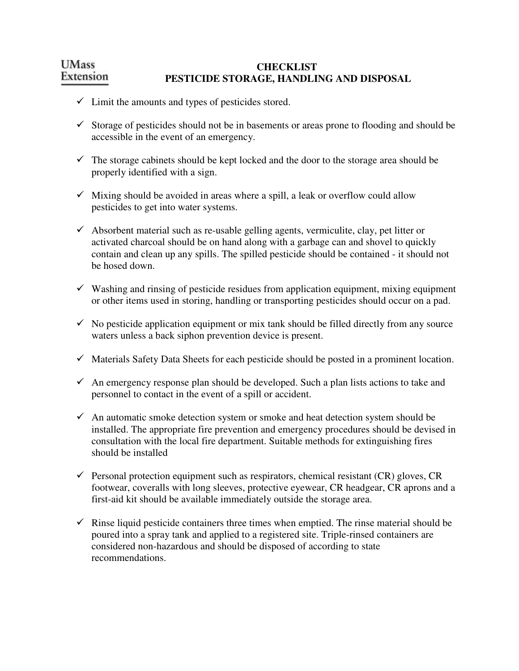#### **UMass CHECKLIST**  Extension  **PESTICIDE STORAGE, HANDLING AND DISPOSAL**

- $\checkmark$  Limit the amounts and types of pesticides stored.
- $\checkmark$  Storage of pesticides should not be in basements or areas prone to flooding and should be accessible in the event of an emergency.
- $\checkmark$  The storage cabinets should be kept locked and the door to the storage area should be properly identified with a sign.
- $\checkmark$  Mixing should be avoided in areas where a spill, a leak or overflow could allow pesticides to get into water systems.
- $\checkmark$  Absorbent material such as re-usable gelling agents, vermiculite, clay, pet litter or activated charcoal should be on hand along with a garbage can and shovel to quickly contain and clean up any spills. The spilled pesticide should be contained - it should not be hosed down.
- $\checkmark$  Washing and rinsing of pesticide residues from application equipment, mixing equipment or other items used in storing, handling or transporting pesticides should occur on a pad.
- $\checkmark$  No pesticide application equipment or mix tank should be filled directly from any source waters unless a back siphon prevention device is present.
- $\checkmark$  Materials Safety Data Sheets for each pesticide should be posted in a prominent location.
- $\checkmark$  An emergency response plan should be developed. Such a plan lists actions to take and personnel to contact in the event of a spill or accident.
- $\checkmark$  An automatic smoke detection system or smoke and heat detection system should be installed. The appropriate fire prevention and emergency procedures should be devised in consultation with the local fire department. Suitable methods for extinguishing fires should be installed
- Personal protection equipment such as respirators, chemical resistant  $(CR)$  gloves,  $CR$ footwear, coveralls with long sleeves, protective eyewear, CR headgear, CR aprons and a first-aid kit should be available immediately outside the storage area.
- $\checkmark$  Rinse liquid pesticide containers three times when emptied. The rinse material should be poured into a spray tank and applied to a registered site. Triple-rinsed containers are considered non-hazardous and should be disposed of according to state recommendations.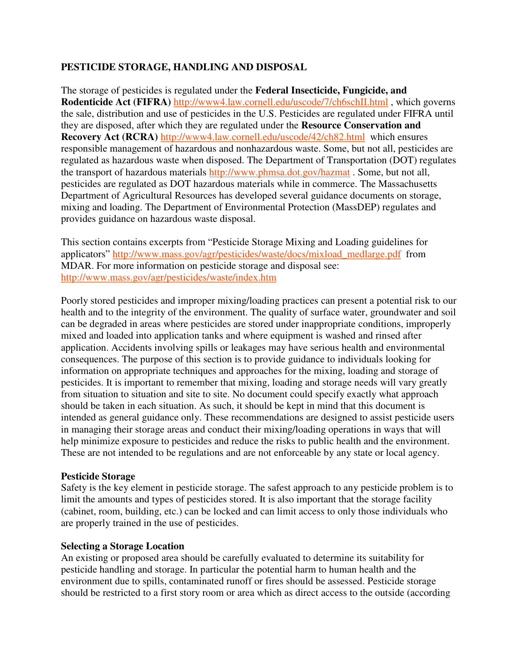# **PESTICIDE STORAGE, HANDLING AND DISPOSAL**

The storage of pesticides is regulated under the **Federal Insecticide, Fungicide, and Rodenticide Act (FIFRA)** http://www4.law.cornell.edu/uscode/7/ch6schII.html , which governs the sale, distribution and use of pesticides in the U.S. Pesticides are regulated under FIFRA until they are disposed, after which they are regulated under the **Resource Conservation and Recovery Act (RCRA)** http://www4.law.cornell.edu/uscode/42/ch82.html which ensures responsible management of hazardous and nonhazardous waste. Some, but not all, pesticides are regulated as hazardous waste when disposed. The Department of Transportation (DOT) regulates the transport of hazardous materials http://www.phmsa.dot.gov/hazmat . Some, but not all, pesticides are regulated as DOT hazardous materials while in commerce. The Massachusetts Department of Agricultural Resources has developed several guidance documents on storage, mixing and loading. The Department of Environmental Protection (MassDEP) regulates and provides guidance on hazardous waste disposal.

This section contains excerpts from "Pesticide Storage Mixing and Loading guidelines for applicators" http://www.mass.gov/agr/pesticides/waste/docs/mixload\_medlarge.pdf from MDAR. For more information on pesticide storage and disposal see: http://www.mass.gov/agr/pesticides/waste/index.htm

Poorly stored pesticides and improper mixing/loading practices can present a potential risk to our health and to the integrity of the environment. The quality of surface water, groundwater and soil can be degraded in areas where pesticides are stored under inappropriate conditions, improperly mixed and loaded into application tanks and where equipment is washed and rinsed after application. Accidents involving spills or leakages may have serious health and environmental consequences. The purpose of this section is to provide guidance to individuals looking for information on appropriate techniques and approaches for the mixing, loading and storage of pesticides. It is important to remember that mixing, loading and storage needs will vary greatly from situation to situation and site to site. No document could specify exactly what approach should be taken in each situation. As such, it should be kept in mind that this document is intended as general guidance only. These recommendations are designed to assist pesticide users in managing their storage areas and conduct their mixing/loading operations in ways that will help minimize exposure to pesticides and reduce the risks to public health and the environment. These are not intended to be regulations and are not enforceable by any state or local agency.

## **Pesticide Storage**

Safety is the key element in pesticide storage. The safest approach to any pesticide problem is to limit the amounts and types of pesticides stored. It is also important that the storage facility (cabinet, room, building, etc.) can be locked and can limit access to only those individuals who are properly trained in the use of pesticides.

## **Selecting a Storage Location**

An existing or proposed area should be carefully evaluated to determine its suitability for pesticide handling and storage. In particular the potential harm to human health and the environment due to spills, contaminated runoff or fires should be assessed. Pesticide storage should be restricted to a first story room or area which as direct access to the outside (according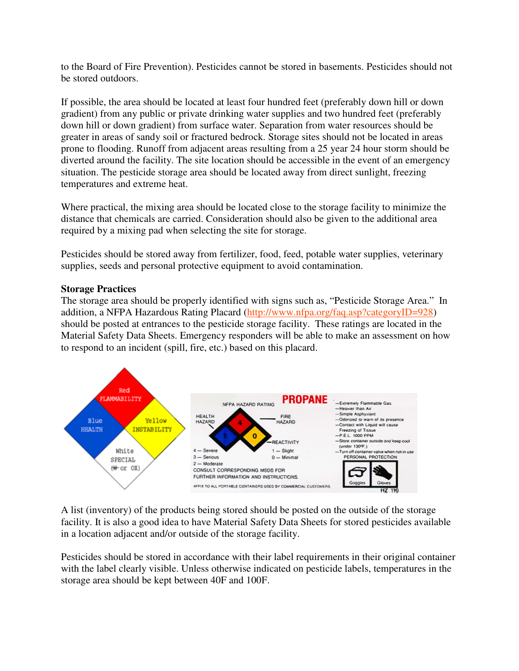to the Board of Fire Prevention). Pesticides cannot be stored in basements. Pesticides should not be stored outdoors.

If possible, the area should be located at least four hundred feet (preferably down hill or down gradient) from any public or private drinking water supplies and two hundred feet (preferably down hill or down gradient) from surface water. Separation from water resources should be greater in areas of sandy soil or fractured bedrock. Storage sites should not be located in areas prone to flooding. Runoff from adjacent areas resulting from a 25 year 24 hour storm should be diverted around the facility. The site location should be accessible in the event of an emergency situation. The pesticide storage area should be located away from direct sunlight, freezing temperatures and extreme heat.

Where practical, the mixing area should be located close to the storage facility to minimize the distance that chemicals are carried. Consideration should also be given to the additional area required by a mixing pad when selecting the site for storage.

Pesticides should be stored away from fertilizer, food, feed, potable water supplies, veterinary supplies, seeds and personal protective equipment to avoid contamination.

## **Storage Practices**

The storage area should be properly identified with signs such as, "Pesticide Storage Area." In addition, a NFPA Hazardous Rating Placard (http://www.nfpa.org/faq.asp?categoryID=928) should be posted at entrances to the pesticide storage facility. These ratings are located in the Material Safety Data Sheets. Emergency responders will be able to make an assessment on how to respond to an incident (spill, fire, etc.) based on this placard.



A list (inventory) of the products being stored should be posted on the outside of the storage facility. It is also a good idea to have Material Safety Data Sheets for stored pesticides available in a location adjacent and/or outside of the storage facility.

Pesticides should be stored in accordance with their label requirements in their original container with the label clearly visible. Unless otherwise indicated on pesticide labels, temperatures in the storage area should be kept between 40F and 100F.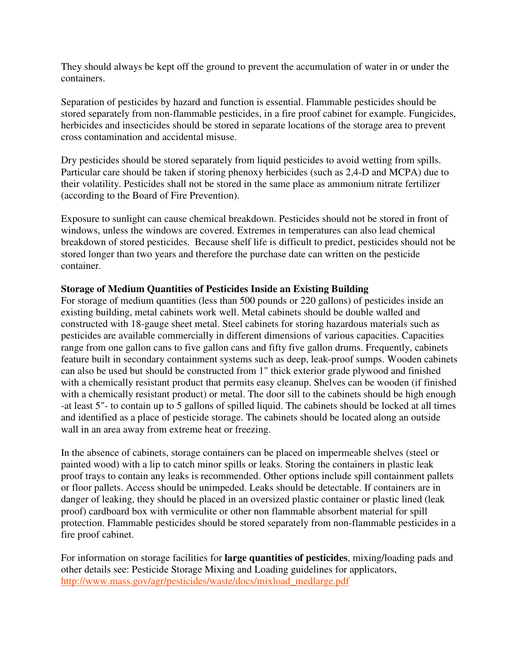They should always be kept off the ground to prevent the accumulation of water in or under the containers.

Separation of pesticides by hazard and function is essential. Flammable pesticides should be stored separately from non-flammable pesticides, in a fire proof cabinet for example. Fungicides, herbicides and insecticides should be stored in separate locations of the storage area to prevent cross contamination and accidental misuse.

Dry pesticides should be stored separately from liquid pesticides to avoid wetting from spills. Particular care should be taken if storing phenoxy herbicides (such as 2,4-D and MCPA) due to their volatility. Pesticides shall not be stored in the same place as ammonium nitrate fertilizer (according to the Board of Fire Prevention).

Exposure to sunlight can cause chemical breakdown. Pesticides should not be stored in front of windows, unless the windows are covered. Extremes in temperatures can also lead chemical breakdown of stored pesticides. Because shelf life is difficult to predict, pesticides should not be stored longer than two years and therefore the purchase date can written on the pesticide container.

## **Storage of Medium Quantities of Pesticides Inside an Existing Building**

For storage of medium quantities (less than 500 pounds or 220 gallons) of pesticides inside an existing building, metal cabinets work well. Metal cabinets should be double walled and constructed with 18-gauge sheet metal. Steel cabinets for storing hazardous materials such as pesticides are available commercially in different dimensions of various capacities. Capacities range from one gallon cans to five gallon cans and fifty five gallon drums. Frequently, cabinets feature built in secondary containment systems such as deep, leak-proof sumps. Wooden cabinets can also be used but should be constructed from 1" thick exterior grade plywood and finished with a chemically resistant product that permits easy cleanup. Shelves can be wooden (if finished with a chemically resistant product) or metal. The door sill to the cabinets should be high enough -at least 5"- to contain up to 5 gallons of spilled liquid. The cabinets should be locked at all times and identified as a place of pesticide storage. The cabinets should be located along an outside wall in an area away from extreme heat or freezing.

In the absence of cabinets, storage containers can be placed on impermeable shelves (steel or painted wood) with a lip to catch minor spills or leaks. Storing the containers in plastic leak proof trays to contain any leaks is recommended. Other options include spill containment pallets or floor pallets. Access should be unimpeded. Leaks should be detectable. If containers are in danger of leaking, they should be placed in an oversized plastic container or plastic lined (leak proof) cardboard box with vermiculite or other non flammable absorbent material for spill protection. Flammable pesticides should be stored separately from non-flammable pesticides in a fire proof cabinet.

For information on storage facilities for **large quantities of pesticides**, mixing/loading pads and other details see: Pesticide Storage Mixing and Loading guidelines for applicators, http://www.mass.gov/agr/pesticides/waste/docs/mixload\_medlarge.pdf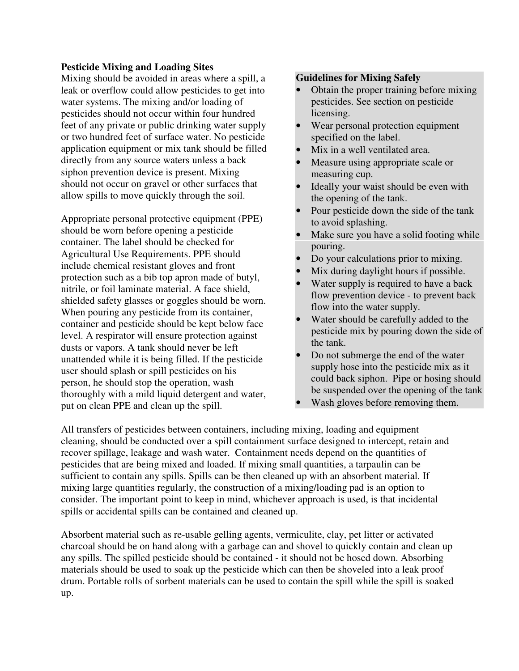#### **Pesticide Mixing and Loading Sites**

Mixing should be avoided in areas where a spill, a leak or overflow could allow pesticides to get into water systems. The mixing and/or loading of pesticides should not occur within four hundred feet of any private or public drinking water supply or two hundred feet of surface water. No pesticide application equipment or mix tank should be filled directly from any source waters unless a back siphon prevention device is present. Mixing should not occur on gravel or other surfaces that allow spills to move quickly through the soil.

Appropriate personal protective equipment (PPE) should be worn before opening a pesticide container. The label should be checked for Agricultural Use Requirements. PPE should include chemical resistant gloves and front protection such as a bib top apron made of butyl, nitrile, or foil laminate material. A face shield, shielded safety glasses or goggles should be worn. When pouring any pesticide from its container, container and pesticide should be kept below face level. A respirator will ensure protection against dusts or vapors. A tank should never be left unattended while it is being filled. If the pesticide user should splash or spill pesticides on his person, he should stop the operation, wash thoroughly with a mild liquid detergent and water, put on clean PPE and clean up the spill.

#### **Guidelines for Mixing Safely**

- Obtain the proper training before mixing pesticides. See section on pesticide licensing.
- Wear personal protection equipment specified on the label.
- Mix in a well ventilated area.
- Measure using appropriate scale or measuring cup.
- Ideally your waist should be even with the opening of the tank.
- Pour pesticide down the side of the tank to avoid splashing.
- Make sure you have a solid footing while pouring.
- Do your calculations prior to mixing.
- Mix during daylight hours if possible.
- Water supply is required to have a back flow prevention device - to prevent back flow into the water supply.
- Water should be carefully added to the pesticide mix by pouring down the side of the tank.
- Do not submerge the end of the water supply hose into the pesticide mix as it could back siphon. Pipe or hosing should be suspended over the opening of the tank
- Wash gloves before removing them.

All transfers of pesticides between containers, including mixing, loading and equipment cleaning, should be conducted over a spill containment surface designed to intercept, retain and recover spillage, leakage and wash water. Containment needs depend on the quantities of pesticides that are being mixed and loaded. If mixing small quantities, a tarpaulin can be sufficient to contain any spills. Spills can be then cleaned up with an absorbent material. If mixing large quantities regularly, the construction of a mixing/loading pad is an option to consider. The important point to keep in mind, whichever approach is used, is that incidental spills or accidental spills can be contained and cleaned up.

Absorbent material such as re-usable gelling agents, vermiculite, clay, pet litter or activated charcoal should be on hand along with a garbage can and shovel to quickly contain and clean up any spills. The spilled pesticide should be contained - it should not be hosed down. Absorbing materials should be used to soak up the pesticide which can then be shoveled into a leak proof drum. Portable rolls of sorbent materials can be used to contain the spill while the spill is soaked up.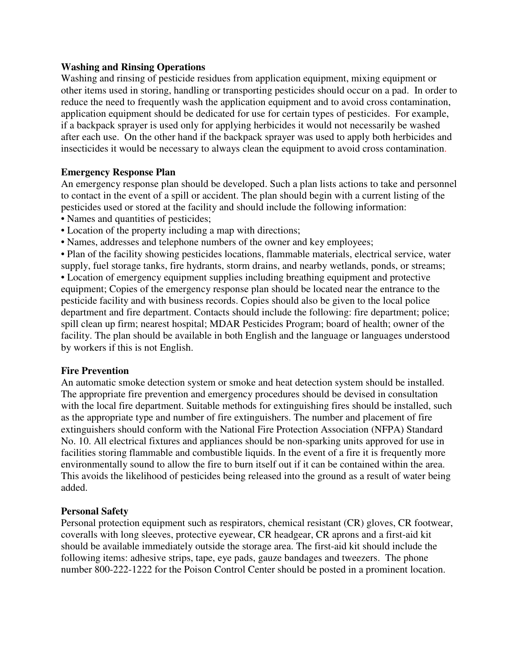#### **Washing and Rinsing Operations**

Washing and rinsing of pesticide residues from application equipment, mixing equipment or other items used in storing, handling or transporting pesticides should occur on a pad. In order to reduce the need to frequently wash the application equipment and to avoid cross contamination, application equipment should be dedicated for use for certain types of pesticides. For example, if a backpack sprayer is used only for applying herbicides it would not necessarily be washed after each use. On the other hand if the backpack sprayer was used to apply both herbicides and insecticides it would be necessary to always clean the equipment to avoid cross contamination.

## **Emergency Response Plan**

An emergency response plan should be developed. Such a plan lists actions to take and personnel to contact in the event of a spill or accident. The plan should begin with a current listing of the pesticides used or stored at the facility and should include the following information:

- Names and quantities of pesticides;
- Location of the property including a map with directions;
- Names, addresses and telephone numbers of the owner and key employees;

• Plan of the facility showing pesticides locations, flammable materials, electrical service, water supply, fuel storage tanks, fire hydrants, storm drains, and nearby wetlands, ponds, or streams; • Location of emergency equipment supplies including breathing equipment and protective equipment; Copies of the emergency response plan should be located near the entrance to the pesticide facility and with business records. Copies should also be given to the local police department and fire department. Contacts should include the following: fire department; police; spill clean up firm; nearest hospital; MDAR Pesticides Program; board of health; owner of the facility. The plan should be available in both English and the language or languages understood by workers if this is not English.

## **Fire Prevention**

An automatic smoke detection system or smoke and heat detection system should be installed. The appropriate fire prevention and emergency procedures should be devised in consultation with the local fire department. Suitable methods for extinguishing fires should be installed, such as the appropriate type and number of fire extinguishers. The number and placement of fire extinguishers should conform with the National Fire Protection Association (NFPA) Standard No. 10. All electrical fixtures and appliances should be non-sparking units approved for use in facilities storing flammable and combustible liquids. In the event of a fire it is frequently more environmentally sound to allow the fire to burn itself out if it can be contained within the area. This avoids the likelihood of pesticides being released into the ground as a result of water being added.

## **Personal Safety**

Personal protection equipment such as respirators, chemical resistant (CR) gloves, CR footwear, coveralls with long sleeves, protective eyewear, CR headgear, CR aprons and a first-aid kit should be available immediately outside the storage area. The first-aid kit should include the following items: adhesive strips, tape, eye pads, gauze bandages and tweezers. The phone number 800-222-1222 for the Poison Control Center should be posted in a prominent location.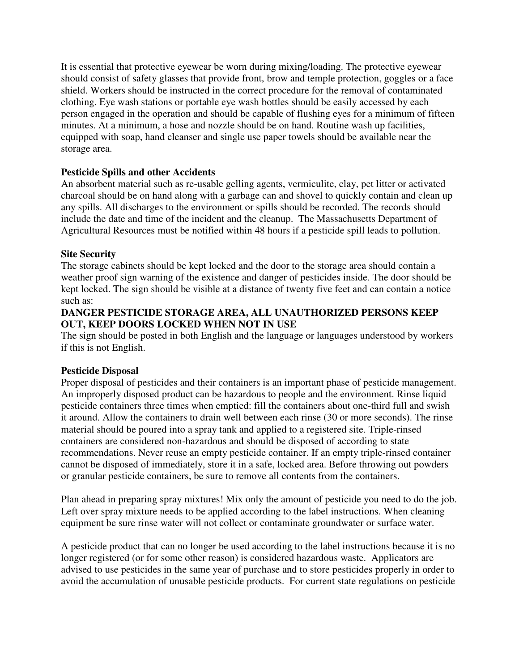It is essential that protective eyewear be worn during mixing/loading. The protective eyewear should consist of safety glasses that provide front, brow and temple protection, goggles or a face shield. Workers should be instructed in the correct procedure for the removal of contaminated clothing. Eye wash stations or portable eye wash bottles should be easily accessed by each person engaged in the operation and should be capable of flushing eyes for a minimum of fifteen minutes. At a minimum, a hose and nozzle should be on hand. Routine wash up facilities, equipped with soap, hand cleanser and single use paper towels should be available near the storage area.

## **Pesticide Spills and other Accidents**

An absorbent material such as re-usable gelling agents, vermiculite, clay, pet litter or activated charcoal should be on hand along with a garbage can and shovel to quickly contain and clean up any spills. All discharges to the environment or spills should be recorded. The records should include the date and time of the incident and the cleanup. The Massachusetts Department of Agricultural Resources must be notified within 48 hours if a pesticide spill leads to pollution.

## **Site Security**

The storage cabinets should be kept locked and the door to the storage area should contain a weather proof sign warning of the existence and danger of pesticides inside. The door should be kept locked. The sign should be visible at a distance of twenty five feet and can contain a notice such as:

## **DANGER PESTICIDE STORAGE AREA, ALL UNAUTHORIZED PERSONS KEEP OUT, KEEP DOORS LOCKED WHEN NOT IN USE**

The sign should be posted in both English and the language or languages understood by workers if this is not English.

## **Pesticide Disposal**

Proper disposal of pesticides and their containers is an important phase of pesticide management. An improperly disposed product can be hazardous to people and the environment. Rinse liquid pesticide containers three times when emptied: fill the containers about one-third full and swish it around. Allow the containers to drain well between each rinse (30 or more seconds). The rinse material should be poured into a spray tank and applied to a registered site. Triple-rinsed containers are considered non-hazardous and should be disposed of according to state recommendations. Never reuse an empty pesticide container. If an empty triple-rinsed container cannot be disposed of immediately, store it in a safe, locked area. Before throwing out powders or granular pesticide containers, be sure to remove all contents from the containers.

Plan ahead in preparing spray mixtures! Mix only the amount of pesticide you need to do the job. Left over spray mixture needs to be applied according to the label instructions. When cleaning equipment be sure rinse water will not collect or contaminate groundwater or surface water.

A pesticide product that can no longer be used according to the label instructions because it is no longer registered (or for some other reason) is considered hazardous waste. Applicators are advised to use pesticides in the same year of purchase and to store pesticides properly in order to avoid the accumulation of unusable pesticide products. For current state regulations on pesticide